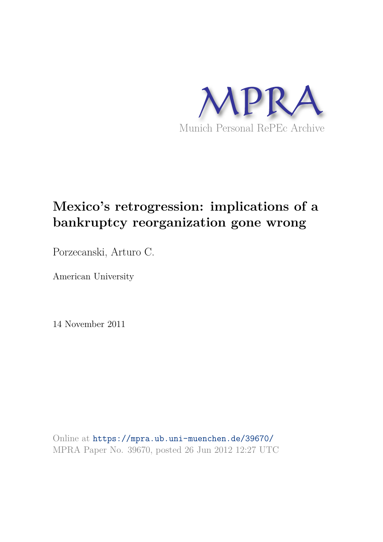

# **Mexico's retrogression: implications of a bankruptcy reorganization gone wrong**

Porzecanski, Arturo C.

American University

14 November 2011

Online at https://mpra.ub.uni-muenchen.de/39670/ MPRA Paper No. 39670, posted 26 Jun 2012 12:27 UTC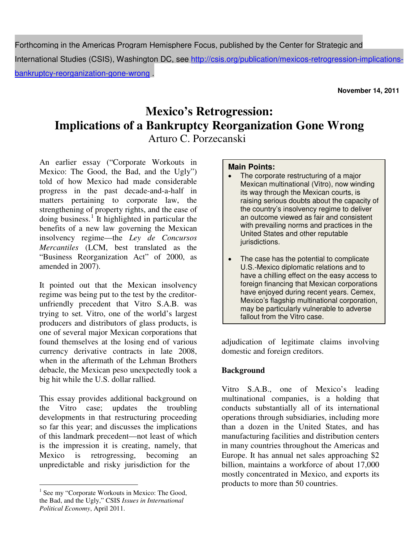Forthcoming in the Americas Program Hemisphere Focus, published by the Center for Strategic and International Studies (CSIS), Washington DC, see http://csis.org/publication/mexicos-retrogression-implicationsbankruptcy-reorganization-gone-wrong .

**November 14, 2011**

# **Mexico's Retrogression: Implications of a Bankruptcy Reorganization Gone Wrong** Arturo C. Porzecanski

An earlier essay ("Corporate Workouts in Mexico: The Good, the Bad, and the Ugly") told of how Mexico had made considerable progress in the past decade-and-a-half in matters pertaining to corporate law, the strengthening of property rights, and the ease of doing business.<sup>[1](#page-1-0)</sup> It highlighted in particular the benefits of a new law governing the Mexican insolvency regime—the *Ley de Concursos Mercantiles* (LCM, best translated as the "Business Reorganization Act" of 2000, as amended in 2007).

It pointed out that the Mexican insolvency regime was being put to the test by the creditorunfriendly precedent that Vitro S.A.B. was trying to set. Vitro, one of the world's largest producers and distributors of glass products, is one of several major Mexican corporations that found themselves at the losing end of various currency derivative contracts in late 2008, when in the aftermath of the Lehman Brothers debacle, the Mexican peso unexpectedly took a big hit while the U.S. dollar rallied.

This essay provides additional background on the Vitro case; updates the troubling developments in that restructuring proceeding so far this year; and discusses the implications of this landmark precedent—not least of which is the impression it is creating, namely, that Mexico is retrogressing, becoming an unpredictable and risky jurisdiction for the

## **Main Points:**

- The corporate restructuring of a major Mexican multinational (Vitro), now winding its way through the Mexican courts, is raising serious doubts about the capacity of the country's insolvency regime to deliver an outcome viewed as fair and consistent with prevailing norms and practices in the United States and other reputable jurisdictions.
- The case has the potential to complicate U.S.-Mexico diplomatic relations and to have a chilling effect on the easy access to foreign financing that Mexican corporations have enjoyed during recent years. Cemex, Mexico's flagship multinational corporation, may be particularly vulnerable to adverse fallout from the Vitro case.

adjudication of legitimate claims involving domestic and foreign creditors.

### **Background**

Vitro S.A.B., one of Mexico's leading multinational companies, is a holding that conducts substantially all of its international operations through subsidiaries, including more than a dozen in the United States, and has manufacturing facilities and distribution centers in many countries throughout the Americas and Europe. It has annual net sales approaching \$2 billion, maintains a workforce of about 17,000 mostly concentrated in Mexico, and exports its products to more than 50 countries.

<span id="page-1-0"></span> $\overline{a}$ <sup>1</sup> See my "Corporate Workouts in Mexico: The Good, the Bad, and the Ugly," CSIS *Issues in International Political Economy*, April 2011.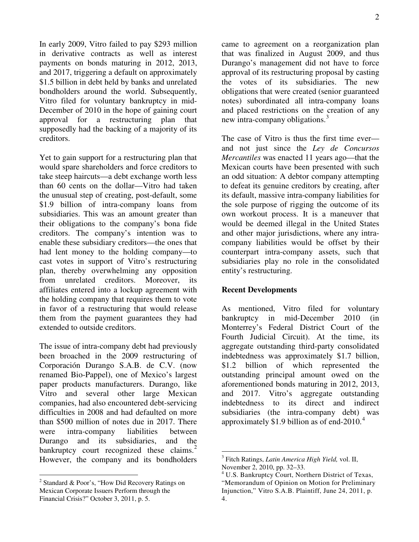In early 2009, Vitro failed to pay \$293 million in derivative contracts as well as interest payments on bonds maturing in 2012, 2013, and 2017, triggering a default on approximately \$1.5 billion in debt held by banks and unrelated bondholders around the world. Subsequently, Vitro filed for voluntary bankruptcy in mid-December of 2010 in the hope of gaining court approval for a restructuring plan that supposedly had the backing of a majority of its creditors.

Yet to gain support for a restructuring plan that would spare shareholders and force creditors to take steep haircuts—a debt exchange worth less than 60 cents on the dollar—Vitro had taken the unusual step of creating, post-default, some \$1.9 billion of intra-company loans from subsidiaries. This was an amount greater than their obligations to the company's bona fide creditors. The company's intention was to enable these subsidiary creditors—the ones that had lent money to the holding company—to cast votes in support of Vitro's restructuring plan, thereby overwhelming any opposition from unrelated creditors. Moreover, affiliates entered into a lockup agreement with the holding company that requires them to vote in favor of a restructuring that would release them from the payment guarantees they had extended to outside creditors.

The issue of intra-company debt had previously been broached in the 2009 restructuring of Corporación Durango S.A.B. de C.V. (now renamed Bio-Pappel), one of Mexico's largest paper products manufacturers. Durango, like Vitro and several other large Mexican companies, had also encountered debt-servicing difficulties in 2008 and had defaulted on more than \$500 million of notes due in 2017. There were intra-company liabilities between Durango and its subsidiaries, and the bankruptcy court recognized these claims. $\frac{2}{3}$  $\frac{2}{3}$  $\frac{2}{3}$ However, the company and its bondholders

came to agreement on a reorganization plan that was finalized in August 2009, and thus Durango's management did not have to force approval of its restructuring proposal by casting the votes of its subsidiaries. The new obligations that were created (senior guaranteed notes) subordinated all intra-company loans and placed restrictions on the creation of any new intra-company obligations.<sup>[3](#page-2-1)</sup>

The case of Vitro is thus the first time ever and not just since the *Ley de Concursos Mercantiles* was enacted 11 years ago—that the Mexican courts have been presented with such an odd situation: A debtor company attempting to defeat its genuine creditors by creating, after its default, massive intra-company liabilities for the sole purpose of rigging the outcome of its own workout process. It is a maneuver that would be deemed illegal in the United States and other major jurisdictions, where any intracompany liabilities would be offset by their counterpart intra-company assets, such that subsidiaries play no role in the consolidated entity's restructuring.

#### **Recent Developments**

<u>.</u>

As mentioned, Vitro filed for voluntary bankruptcy in mid-December 2010 (in Monterrey's Federal District Court of the Fourth Judicial Circuit). At the time, its aggregate outstanding third-party consolidated indebtedness was approximately \$1.7 billion, \$1.2 billion of which represented the outstanding principal amount owed on the aforementioned bonds maturing in 2012, 2013, and 2017. Vitro's aggregate outstanding indebtedness to its direct and indirect subsidiaries (the intra-company debt) was approximately \$1.9 billion as of end-2010. $4$ 

<span id="page-2-2"></span><span id="page-2-1"></span><span id="page-2-0"></span> 2 Standard & Poor's, "How Did Recovery Ratings on Mexican Corporate Issuers Perform through the Financial Crisis?" October 3, 2011, p. 5.

<sup>3</sup> Fitch Ratings, *Latin America High Yield,* vol. II, November 2, 2010, pp. 32–33.

<sup>4</sup> U.S. Bankruptcy Court, Northern District of Texas, "Memorandum of Opinion on Motion for Preliminary Injunction," Vitro S.A.B. Plaintiff, June 24, 2011, p. 4.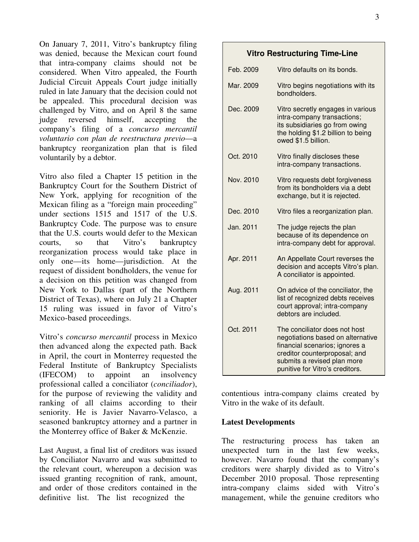On January 7, 2011, Vitro's bankruptcy filing was denied, because the Mexican court found that intra-company claims should not be considered. When Vitro appealed, the Fourth Judicial Circuit Appeals Court judge initially ruled in late January that the decision could not be appealed. This procedural decision was challenged by Vitro, and on April 8 the same judge reversed himself, accepting the company's filing of a *concurso mercantil voluntario con plan de reestructura previo*—a bankruptcy reorganization plan that is filed voluntarily by a debtor.

Vitro also filed a Chapter 15 petition in the Bankruptcy Court for the Southern District of New York, applying for recognition of the Mexican filing as a "foreign main proceeding" under sections 1515 and 1517 of the U.S. Bankruptcy Code. The purpose was to ensure that the U.S. courts would defer to the Mexican courts, so that Vitro's bankruptcy reorganization process would take place in only one—its home—jurisdiction. At the request of dissident bondholders, the venue for a decision on this petition was changed from New York to Dallas (part of the Northern District of Texas), where on July 21 a Chapter 15 ruling was issued in favor of Vitro's Mexico-based proceedings.

Vitro's *concurso mercantil* process in Mexico then advanced along the expected path. Back in April, the court in Monterrey requested the Federal Institute of Bankruptcy Specialists (IFECOM) to appoint an insolvency professional called a conciliator (*conciliador*), for the purpose of reviewing the validity and ranking of all claims according to their seniority. He is Javier Navarro-Velasco, a seasoned bankruptcy attorney and a partner in the Monterrey office of Baker & McKenzie.

Last August, a final list of creditors was issued by Conciliator Navarro and was submitted to the relevant court, whereupon a decision was issued granting recognition of rank, amount, and order of those creditors contained in the definitive list. The list recognized the

#### **Vitro Restructuring Time-Line**

| Feb. 2009 | Vitro defaults on its bonds.                                                                                                                                                                            |
|-----------|---------------------------------------------------------------------------------------------------------------------------------------------------------------------------------------------------------|
| Mar. 2009 | Vitro begins negotiations with its<br>bondholders.                                                                                                                                                      |
| Dec. 2009 | Vitro secretly engages in various<br>intra-company transactions;<br>its subsidiaries go from owing<br>the holding \$1.2 billion to being<br>owed \$1.5 billion.                                         |
| Oct. 2010 | Vitro finally discloses these<br>intra-company transactions.                                                                                                                                            |
| Nov. 2010 | Vitro requests debt forgiveness<br>from its bondholders via a debt<br>exchange, but it is rejected.                                                                                                     |
| Dec. 2010 | Vitro files a reorganization plan.                                                                                                                                                                      |
| Jan. 2011 | The judge rejects the plan<br>because of its dependence on<br>intra-company debt for approval.                                                                                                          |
| Apr. 2011 | An Appellate Court reverses the<br>decision and accepts Vitro's plan.<br>A conciliator is appointed.                                                                                                    |
| Aug. 2011 | On advice of the conciliator, the<br>list of recognized debts receives<br>court approval; intra-company<br>debtors are included.                                                                        |
| Oct. 2011 | The conciliator does not host<br>negotiations based on alternative<br>financial scenarios; ignores a<br>creditor counterproposal; and<br>submits a revised plan more<br>punitive for Vitro's creditors. |

contentious intra-company claims created by Vitro in the wake of its default.

#### **Latest Developments**

The restructuring process has taken an unexpected turn in the last few weeks, however. Navarro found that the company's creditors were sharply divided as to Vitro's December 2010 proposal. Those representing intra-company claims sided with Vitro's management, while the genuine creditors who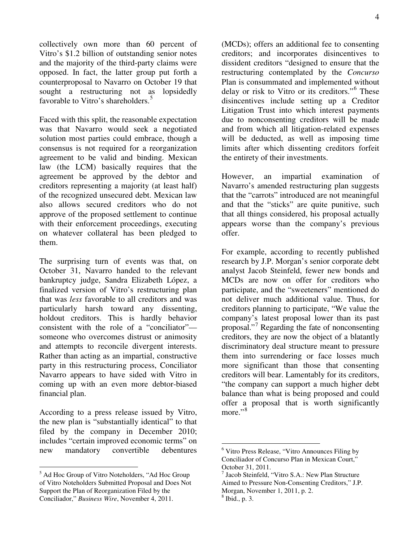collectively own more than 60 percent of Vitro's \$1.2 billion of outstanding senior notes and the majority of the third-party claims were opposed. In fact, the latter group put forth a counterproposal to Navarro on October 19 that sought a restructuring not as lopsidedly favorable to Vitro's shareholders.<sup>[5](#page-4-0)</sup>

Faced with this split, the reasonable expectation was that Navarro would seek a negotiated solution most parties could embrace, though a consensus is not required for a reorganization agreement to be valid and binding. Mexican law (the LCM) basically requires that the agreement be approved by the debtor and creditors representing a majority (at least half) of the recognized unsecured debt. Mexican law also allows secured creditors who do not approve of the proposed settlement to continue with their enforcement proceedings, executing on whatever collateral has been pledged to them.

The surprising turn of events was that, on October 31, Navarro handed to the relevant bankruptcy judge, Sandra Elizabeth López, a finalized version of Vitro's restructuring plan that was *less* favorable to all creditors and was particularly harsh toward any dissenting, holdout creditors. This is hardly behavior consistent with the role of a "conciliator" someone who overcomes distrust or animosity and attempts to reconcile divergent interests. Rather than acting as an impartial, constructive party in this restructuring process, Conciliator Navarro appears to have sided with Vitro in coming up with an even more debtor-biased financial plan.

According to a press release issued by Vitro, the new plan is "substantially identical" to that filed by the company in December 2010; includes "certain improved economic terms" on new mandatory convertible debentures

<span id="page-4-1"></span> $\overline{a}$ 

(MCDs); offers an additional fee to consenting creditors; and incorporates disincentives to dissident creditors "designed to ensure that the restructuring contemplated by the *Concurso* Plan is consummated and implemented without delay or risk to Vitro or its creditors."[6](#page-4-1) These disincentives include setting up a Creditor Litigation Trust into which interest payments due to nonconsenting creditors will be made and from which all litigation-related expenses will be deducted, as well as imposing time limits after which dissenting creditors forfeit the entirety of their investments.

However, an impartial examination of Navarro's amended restructuring plan suggests that the "carrots" introduced are not meaningful and that the "sticks" are quite punitive, such that all things considered, his proposal actually appears worse than the company's previous offer.

For example, according to recently published research by J.P. Morgan's senior corporate debt analyst Jacob Steinfeld, fewer new bonds and MCDs are now on offer for creditors who participate, and the "sweeteners" mentioned do not deliver much additional value. Thus, for creditors planning to participate, "We value the company's latest proposal lower than its past proposal." [7](#page-4-0) Regarding the fate of nonconsenting creditors, they are now the object of a blatantly discriminatory deal structure meant to pressure them into surrendering or face losses much more significant than those that consenting creditors will bear. Lamentably for its creditors, "the company can support a much higher debt balance than what is being proposed and could offer a proposal that is worth significantly more."<sup>[8](#page-4-2)</sup>

 $\overline{a}$ 

<span id="page-4-2"></span><span id="page-4-0"></span><sup>5</sup> Ad Hoc Group of Vitro Noteholders, "Ad Hoc Group of Vitro Noteholders Submitted Proposal and Does Not Support the Plan of Reorganization Filed by the Conciliador," *Business Wire*, November 4, 2011.

<sup>6</sup> Vitro Press Release, "Vitro Announces Filing by Conciliador of Concurso Plan in Mexican Court," October 31, 2011.

<sup>7</sup> Jacob Steinfeld, "Vitro S.A.: New Plan Structure Aimed to Pressure Non-Consenting Creditors," J.P. Morgan, November 1, 2011, p. 2.

<sup>8</sup> Ibid., p. 3.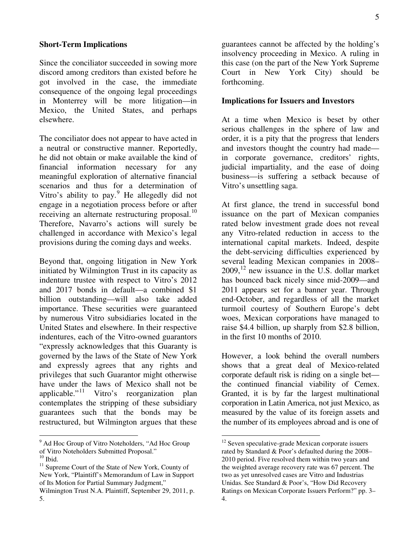Since the conciliator succeeded in sowing more discord among creditors than existed before he got involved in the case, the immediate consequence of the ongoing legal proceedings in Monterrey will be more litigation—in Mexico, the United States, and perhaps elsewhere.

The conciliator does not appear to have acted in a neutral or constructive manner. Reportedly, he did not obtain or make available the kind of financial information necessary for any meaningful exploration of alternative financial scenarios and thus for a determination of Vitro's ability to pay.<sup>[9](#page-5-0)</sup> He allegedly did not engage in a negotiation process before or after receiving an alternate restructuring proposal.<sup>[10](#page-5-1)</sup> Therefore, Navarro's actions will surely be challenged in accordance with Mexico's legal provisions during the coming days and weeks.

Beyond that, ongoing litigation in New York initiated by Wilmington Trust in its capacity as indenture trustee with respect to Vitro's 2012 and 2017 bonds in default—a combined \$1 billion outstanding—will also take added importance. These securities were guaranteed by numerous Vitro subsidiaries located in the United States and elsewhere. In their respective indentures, each of the Vitro-owned guarantors "expressly acknowledges that this Guaranty is governed by the laws of the State of New York and expressly agrees that any rights and privileges that such Guarantor might otherwise have under the laws of Mexico shall not be applicable."<sup>[11](#page-5-2)</sup> Vitro's reorganization plan contemplates the stripping of these subsidiary guarantees such that the bonds may be restructured, but Wilmington argues that these

 $\overline{a}$ 

guarantees cannot be affected by the holding's insolvency proceeding in Mexico. A ruling in this case (on the part of the New York Supreme Court in New York City) should be forthcoming.

#### **Implications for Issuers and Investors**

At a time when Mexico is beset by other serious challenges in the sphere of law and order, it is a pity that the progress that lenders and investors thought the country had made in corporate governance, creditors' rights, judicial impartiality, and the ease of doing business—is suffering a setback because of Vitro's unsettling saga.

At first glance, the trend in successful bond issuance on the part of Mexican companies rated below investment grade does not reveal any Vitro-related reduction in access to the international capital markets. Indeed, despite the debt-servicing difficulties experienced by several leading Mexican companies in 2008–  $2009$ ,  $^{12}$  $^{12}$  $^{12}$  new issuance in the U.S. dollar market has bounced back nicely since mid-2009—and 2011 appears set for a banner year. Through end-October, and regardless of all the market turmoil courtesy of Southern Europe's debt woes, Mexican corporations have managed to raise \$4.4 billion, up sharply from \$2.8 billion, in the first 10 months of 2010.

However, a look behind the overall numbers shows that a great deal of Mexico-related corporate default risk is riding on a single bet the continued financial viability of Cemex. Granted, it is by far the largest multinational corporation in Latin America, not just Mexico, as measured by the value of its foreign assets and the number of its employees abroad and is one of

 $\overline{a}$ 

<span id="page-5-0"></span><sup>&</sup>lt;sup>9</sup> Ad Hoc Group of Vitro Noteholders, "Ad Hoc Group of Vitro Noteholders Submitted Proposal."

 $^{10}$  Ibid.

<span id="page-5-2"></span><span id="page-5-1"></span><sup>11</sup> Supreme Court of the State of New York, County of New York, "Plaintiff's Memorandum of Law in Support of Its Motion for Partial Summary Judgment," Wilmington Trust N.A. Plaintiff, September 29, 2011, p. 5.

<sup>&</sup>lt;sup>12</sup> Seven speculative-grade Mexican corporate issuers rated by Standard & Poor's defaulted during the 2008– 2010 period. Five resolved them within two years and the weighted average recovery rate was 67 percent. The two as yet unresolved cases are Vitro and Industrias Unidas. See Standard & Poor's, "How Did Recovery Ratings on Mexican Corporate Issuers Perform?" pp. 3– 4.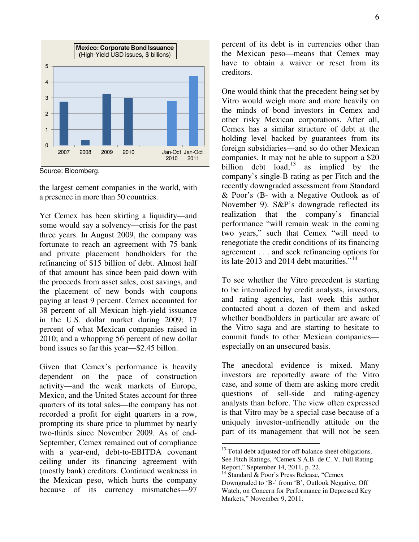

Source: Bloomberg.

the largest cement companies in the world, with a presence in more than 50 countries.

Yet Cemex has been skirting a liquidity—and some would say a solvency—crisis for the past three years. In August 2009, the company was fortunate to reach an agreement with 75 bank and private placement bondholders for the refinancing of \$15 billion of debt. Almost half of that amount has since been paid down with the proceeds from asset sales, cost savings, and the placement of new bonds with coupons paying at least 9 percent. Cemex accounted for 38 percent of all Mexican high-yield issuance in the U.S. dollar market during 2009; 17 percent of what Mexican companies raised in 2010; and a whopping 56 percent of new dollar bond issues so far this year—\$2.45 billon.

<span id="page-6-1"></span><span id="page-6-0"></span>Given that Cemex's performance is heavily dependent on the pace of construction activity—and the weak markets of Europe, Mexico, and the United States account for three quarters of its total sales—the company has not recorded a profit for eight quarters in a row, prompting its share price to plummet by nearly two-thirds since November 2009. As of end-September, Cemex remained out of compliance with a year-end, debt-to-EBITDA covenant ceiling under its financing agreement with (mostly bank) creditors. Continued weakness in the Mexican peso, which hurts the company because of its currency mismatches—97

percent of its debt is in currencies other than the Mexican peso—means that Cemex may have to obtain a waiver or reset from its creditors.

One would think that the precedent being set by Vitro would weigh more and more heavily on the minds of bond investors in Cemex and other risky Mexican corporations. After all, Cemex has a similar structure of debt at the holding level backed by guarantees from its foreign subsidiaries—and so do other Mexican companies. It may not be able to support a \$20 billion debt load,  $13$  as implied by the company's single-B rating as per Fitch and the recently downgraded assessment from Standard & Poor's (B- with a Negative Outlook as of November 9). S&P's downgrade reflected its realization that the company's financial performance "will remain weak in the coming two years," such that Cemex "will need to renegotiate the credit conditions of its financing agreement . . . and seek refinancing options for its late-2013 and 20[14](#page-6-1) debt maturities."<sup>14</sup>

To see whether the Vitro precedent is starting to be internalized by credit analysts, investors, and rating agencies, last week this author contacted about a dozen of them and asked whether bondholders in particular are aware of the Vitro saga and are starting to hesitate to commit funds to other Mexican companies especially on an unsecured basis.

The anecdotal evidence is mixed. Many investors are reportedly aware of the Vitro case, and some of them are asking more credit questions of sell-side and rating-agency analysts than before. The view often expressed is that Vitro may be a special case because of a uniquely investor-unfriendly attitude on the part of its management that will not be seen

 $\overline{a}$ 

<sup>&</sup>lt;sup>13</sup> Total debt adjusted for off-balance sheet obligations. See Fitch Ratings, "Cemex S.A.B. de C. V. Full Rating Report," September 14, 2011, p. 22.

<sup>&</sup>lt;sup>14</sup> Standard & Poor's Press Release, "Cemex Downgraded to 'B-' from 'B', Outlook Negative, Off Watch, on Concern for Performance in Depressed Key Markets," November 9, 2011.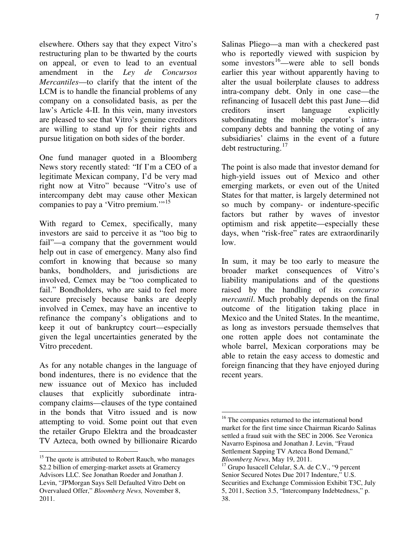elsewhere. Others say that they expect Vitro's restructuring plan to be thwarted by the courts on appeal, or even to lead to an eventual amendment in the *Ley de Concursos Mercantiles*—to clarify that the intent of the LCM is to handle the financial problems of any company on a consolidated basis, as per the law's Article 4-II. In this vein, many investors are pleased to see that Vitro's genuine creditors are willing to stand up for their rights and pursue litigation on both sides of the border.

One fund manager quoted in a Bloomberg News story recently stated: "If I'm a CEO of a legitimate Mexican company, I'd be very mad right now at Vitro" because "Vitro's use of intercompany debt may cause other Mexican companies to pay a 'Vitro premium.'"<sup>[15](#page-7-0)</sup>

With regard to Cemex, specifically, many investors are said to perceive it as "too big to fail"—a company that the government would help out in case of emergency. Many also find comfort in knowing that because so many banks, bondholders, and jurisdictions are involved, Cemex may be "too complicated to fail." Bondholders, who are said to feel more secure precisely because banks are deeply involved in Cemex, may have an incentive to refinance the company's obligations and to keep it out of bankruptcy court—especially given the legal uncertainties generated by the Vitro precedent.

As for any notable changes in the language of bond indentures, there is no evidence that the new issuance out of Mexico has included clauses that explicitly subordinate intracompany claims—clauses of the type contained in the bonds that Vitro issued and is now attempting to void. Some point out that even the retailer Grupo Elektra and the broadcaster TV Azteca, both owned by billionaire Ricardo

<span id="page-7-1"></span> $\overline{a}$ 

Salinas Pliego—a man with a checkered past who is reportedly viewed with suspicion by some investors<sup>[16](#page-7-1)</sup>—were able to sell bonds earlier this year without apparently having to alter the usual boilerplate clauses to address intra-company debt. Only in one case—the refinancing of Iusacell debt this past June—did creditors insert language explicitly subordinating the mobile operator's intracompany debts and banning the voting of any subsidiaries' claims in the event of a future debt restructuring.<sup>[17](#page-7-2)</sup>

The point is also made that investor demand for high-yield issues out of Mexico and other emerging markets, or even out of the United States for that matter, is largely determined not so much by company- or indenture-specific factors but rather by waves of investor optimism and risk appetite—especially these days, when "risk-free" rates are extraordinarily low.

In sum, it may be too early to measure the broader market consequences of Vitro's liability manipulations and of the questions raised by the handling of its *concurso mercantil*. Much probably depends on the final outcome of the litigation taking place in Mexico and the United States. In the meantime, as long as investors persuade themselves that one rotten apple does not contaminate the whole barrel, Mexican corporations may be able to retain the easy access to domestic and foreign financing that they have enjoyed during recent years.

<span id="page-7-2"></span><span id="page-7-0"></span> $15$  The quote is attributed to Robert Rauch, who manages \$2.2 billion of emerging-market assets at Gramercy Advisors LLC. See Jonathan Roeder and Jonathan J. Levin, "JPMorgan Says Sell Defaulted Vitro Debt on Overvalued Offer," *Bloomberg News,* November 8, 2011.

 $\overline{a}$ <sup>16</sup> The companies returned to the international bond market for the first time since Chairman Ricardo Salinas settled a fraud suit with the SEC in 2006. See Veronica Navarro Espinosa and Jonathan J. Levin, "Fraud Settlement Sapping TV Azteca Bond Demand," *Bloomberg News*, May 19, 2011.

<sup>&</sup>lt;sup>17</sup> Grupo Iusacell Celular, S.A. de C.V., "9 percent Senior Secured Notes Due 2017 Indenture," U.S. Securities and Exchange Commission Exhibit T3C, July 5, 2011, Section 3.5, "Intercompany Indebtedness," p. 38.